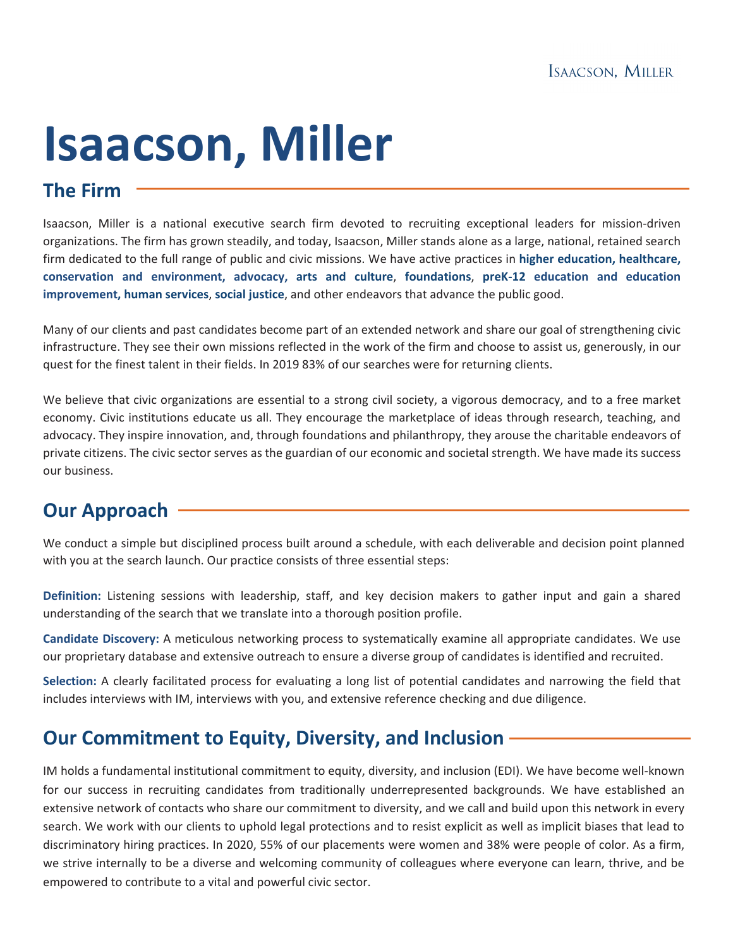# **Isaacson, Miller**

# **The Firm**

Isaacson, Miller is a national executive search firm devoted to recruiting exceptional leaders for mission-driven organizations. The firm has grown steadily, and today, Isaacson, Miller stands alone as a large, national, retained search firm dedicated to the full range of public and civic missions. We have active practices in **higher education, healthcare, conservation and environment, advocacy, arts and culture**, **foundations**, **preK-12 education and education improvement, human services**, **social justice**, and other endeavors that advance the public good.

Many of our clients and past candidates become part of an extended network and share our goal of strengthening civic infrastructure. They see their own missions reflected in the work of the firm and choose to assist us, generously, in our quest for the finest talent in their fields. In 2019 83% of our searches were for returning clients.

We believe that civic organizations are essential to a strong civil society, a vigorous democracy, and to a free market economy. Civic institutions educate us all. They encourage the marketplace of ideas through research, teaching, and advocacy. They inspire innovation, and, through foundations and philanthropy, they arouse the charitable endeavors of private citizens. The civic sector serves as the guardian of our economic and societal strength. We have made its success our business.

# **Our Approach**

We conduct a simple but disciplined process built around a schedule, with each deliverable and decision point planned with you at the search launch. Our practice consists of three essential steps:

**Definition:** Listening sessions with leadership, staff, and key decision makers to gather input and gain a shared understanding of the search that we translate into a thorough position profile.

**Candidate Discovery:** A meticulous networking process to systematically examine all appropriate candidates. We use our proprietary database and extensive outreach to ensure a diverse group of candidates is identified and recruited.

**Selection:** A clearly facilitated process for evaluating a long list of potential candidates and narrowing the field that includes interviews with IM, interviews with you, and extensive reference checking and due diligence.

# **Our Commitment to Equity, Diversity, and Inclusion**

IM holds a fundamental institutional commitment to equity, diversity, and inclusion (EDI). We have become well-known for our success in recruiting candidates from traditionally underrepresented backgrounds. We have established an extensive network of contacts who share our commitment to diversity, and we call and build upon this network in every search. We work with our clients to uphold legal protections and to resist explicit as well as implicit biases that lead to discriminatory hiring practices. In 2020, 55% of our placements were women and 38% were people of color. As a firm, we strive internally to be a diverse and welcoming community of colleagues where everyone can learn, thrive, and be empowered to contribute to a vital and powerful civic sector.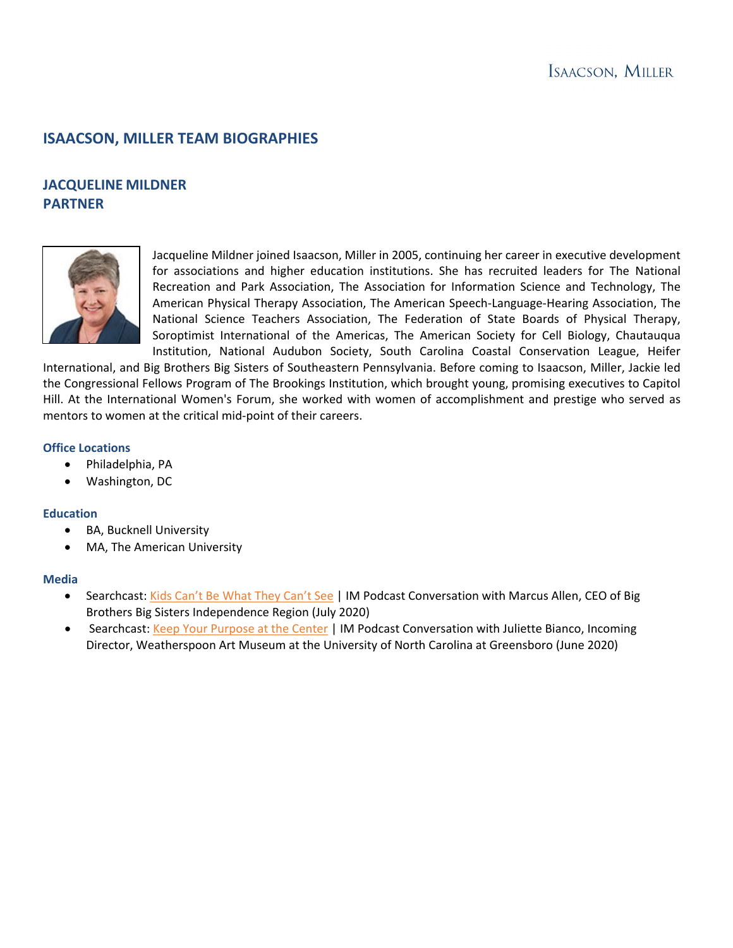### **ISAACSON, MILLER TEAM BIOGRAPHIES**

## **JACQUELINE MILDNER PARTNER**



Jacqueline Mildner joined Isaacson, Miller in 2005, continuing her career in executive development for associations and higher education institutions. She has recruited leaders for The National Recreation and Park Association, The Association for Information Science and Technology, The American Physical Therapy Association, The American Speech-Language-Hearing Association, The National Science Teachers Association, The Federation of State Boards of Physical Therapy, Soroptimist International of the Americas, The American Society for Cell Biology, Chautauqua Institution, National Audubon Society, South Carolina Coastal Conservation League, Heifer

International, and Big Brothers Big Sisters of Southeastern Pennsylvania. Before coming to Isaacson, Miller, Jackie led the Congressional Fellows Program of The Brookings Institution, which brought young, promising executives to Capitol Hill. At the International Women's Forum, she worked with women of accomplishment and prestige who served as mentors to women at the critical mid-point of their careers.

#### **Office Locations**

- Philadelphia, PA
- Washington, DC

#### **Education**

- BA, Bucknell University
- MA, The American University

#### **Media**

- Searchcast: [Kids Can't Be What They Can't See](https://podcasts.apple.com/us/podcast/kids-cant-be-what-they-cant-see-im-conversation-marcus/id1512007481?i=1000483401560) | IM Podcast Conversation with Marcus Allen, CEO of Big Brothers Big Sisters Independence Region (July 2020)
- Searchcast: [Keep Your Purpose at the Center](https://podcasts.apple.com/us/podcast/keep-your-purpose-at-center-im-conversation-juliette/id1512007481?i=1000478370776) | IM Podcast Conversation with Juliette Bianco, Incoming Director, Weatherspoon Art Museum at the University of North Carolina at Greensboro (June 2020)